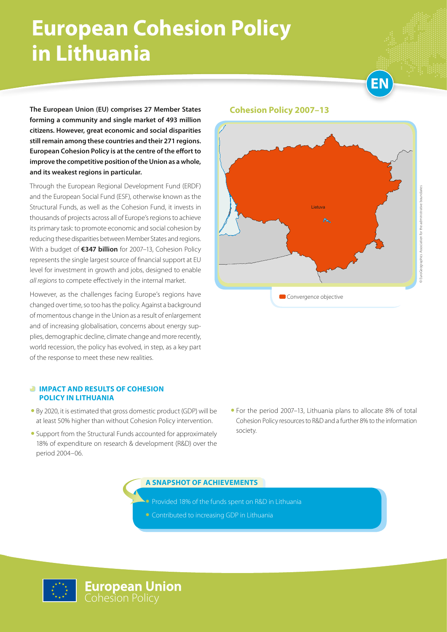## **European Cohesion Policy in Lithuania**



**The European Union (EU) comprises 27 Member States forming a community and single market of 493 million citizens. However, great economic and social disparities still remain among these countries and their 271 regions. European Cohesion Policy is at the centre of the effort to improve the competitive position of the Union as a whole, and its weakest regions in particular.**

Through the European Regional Development Fund (ERDF) and the European Social Fund (ESF), otherwise known as the Structural Funds, as well as the Cohesion Fund, it invests in thousands of projects across all of Europe's regions to achieve its primary task: to promote economic and social cohesion by reducing these disparities between Member States and regions. With a budget of **€347 billion** for 2007–13, Cohesion Policy represents the single largest source of financial support at EU level for investment in growth and jobs, designed to enable *all regions* to compete effectively in the internal market.

However, as the challenges facing Europe's regions have changed over time, so too has the policy. Against a background of momentous change in the Union as a result of enlargement and of increasing globalisation, concerns about energy supplies, demographic decline, climate change and more recently, world recession, the policy has evolved, in step, as a key part of the response to meet these new realities.

#### **Cohesion Policy 2007–13**



#### *<b>IMPACT AND RESULTS OF COHESION* **POLICY IN LITHUANIA**

- By 2020, it is estimated that gross domestic product (GDP) will be at least 50% higher than without Cohesion Policy intervention.
- Support from the Structural Funds accounted for approximately 18% of expenditure on research & development (R&D) over the period 2004–06.
- For the period 2007–13, Lithuania plans to allocate 8% of total Cohesion Policy resources to R&D and a further 8% to the information society.

**A SNAPSHOT OF ACHIEVEMENTS**

• Provided 18% of the funds spent on R&D in Lithuania

• Contributed to increasing GDP in Lithuania

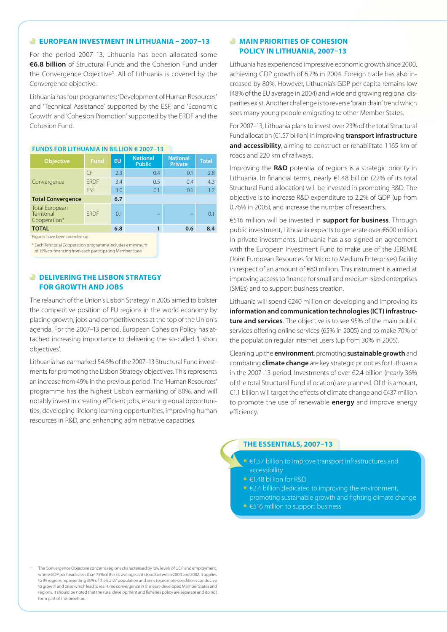#### **EUROPEAN INVESTMENT IN LITHUANIA – 2007–13**

For the period 2007–13, Lithuania has been allocated some **€6.8 billion** of Structural Funds and the Cohesion Fund under the Convergence Objective**<sup>1</sup>** . All of Lithuania is covered by the Convergence objective.

Lithuania has four programmes: 'Development of Human Resources' and 'Technical Assistance' supported by the ESF, and 'Economic Growth' and 'Cohesion Promotion' supported by the ERDF and the Cohesion Fund.

| <b>Objective</b>                                     | <b>Fund</b> | <b>EU</b> | <b>National</b><br><b>Public</b> | <b>National</b><br><b>Private</b> | <b>Total</b> |
|------------------------------------------------------|-------------|-----------|----------------------------------|-----------------------------------|--------------|
| Convergence                                          | <b>CF</b>   | 2.3       | $0.4^{\circ}$                    | 0.1                               | 2.8          |
|                                                      | <b>FRDF</b> | 3.4       | 0.5                              | 0.4                               | 4.3          |
|                                                      | <b>FSF</b>  | 1.0       | 0.1                              | 0.1                               | 1.2          |
| <b>Total Convergence</b>                             |             | 6.7       |                                  |                                   |              |
| <b>Total European</b><br>Territorial<br>Cooperation* | <b>FRDF</b> | 0.1       |                                  |                                   | 0.1          |
| <b>TOTAL</b>                                         |             | 6.8       |                                  | 0.6                               | 8.4          |
|                                                      |             |           |                                  |                                   |              |

#### **Funds for LithuaniA in billion € 2007–13**

Figures have been rounded up

\* Each Territorial Cooperation programme includes a minimum

of 15% co-financing from each participating Member State.

#### *<b>DELIVERING THE LISBON STRATEGY* **FOR GROWTH AND JOBS**

The relaunch of the Union's Lisbon Strategy in 2005 aimed to bolster the competitive position of EU regions in the world economy by placing growth, jobs and competitiveness at the top of the Union's agenda. For the 2007–13 period, European Cohesion Policy has attached increasing importance to delivering the so-called 'Lisbon objectives'.

Lithuania has earmarked 54.6% of the 2007–13 Structural Fund investments for promoting the Lisbon Strategy objectives. This represents an increase from 49% in the previous period. The 'Human Resources' programme has the highest Lisbon earmarking of 80%, and will notably invest in creating efficient jobs, ensuring equal opportunities, developing lifelong learning opportunities, improving human resources in R&D, and enhancing administrative capacities.

#### **MAIN PRIORITIES OF COHESION POLICY IN LITHUANIA, 2007–13**

Lithuania has experienced impressive economic growth since 2000, achieving GDP growth of 6.7% in 2004. Foreign trade has also increased by 80%. However, Lithuania's GDP per capita remains low (48% of the EU average in 2004) and wide and growing regional disparities exist. Another challenge is to reverse 'brain drain' trend which sees many young people emigrating to other Member States.

For 2007–13, Lithuania plans to invest over 23% of the total Structural Fund allocation (€1.57 billion) in improving **transport infrastructure**  and accessibility, aiming to construct or rehabilitate 1165 km of roads and 220 km of railways.

Improving the **R&D** potential of regions is a strategic priority in Lithuania. In financial terms, nearly €1.48 billion (22% of its total Structural Fund allocation) will be invested in promoting R&D. The objective is to increase R&D expenditure to 2.2% of GDP (up from 0.76% in 2005), and increase the number of researchers.

€516 million will be invested in **support for business**. Through public investment, Lithuania expects to generate over €600 million in private investments. Lithuania has also signed an agreement with the European Investment Fund to make use of the JEREMIE (Joint European Resources for Micro to Medium Enterprises) facility in respect of an amount of €80 million. This instrument is aimed at improving access to finance for small and medium-sized enterprises (SMEs) and to support business creation.

Lithuania will spend €240 million on developing and improving its **information and communication technologies (ICT) infrastructure and services**. The objective is to see 95% of the main public services offering online services (65% in 2005) and to make 70% of the population regular internet users (up from 30% in 2005).

Cleaning up the **environment**, promoting **sustainable growth** and combating **climate change** are key strategic priorities for Lithuania in the 2007–13 period. Investments of over €2.4 billion (nearly 36% of the total Structural Fund allocation) are planned. Of this amount, €1.1 billion will target the effects of climate change and €437 million to promote the use of renewable **energy** and improve energy efficiency.

#### **THE ESSENTIALS, 2007–13**

- $\epsilon$ 1.57 billion to improve transport infrastructures and accessibility
- €1.48 billion for R&D
- • €2.4 billion dedicated to improving the environment, promoting sustainable growth and fighting climate change
- €516 million to support business

1 The Convergence Objective concerns regions characterised by low levels of GDP and employment, where GDP per head is less than 75% of the EU average as it stood between 2000 and 2002. It applies to 99 regions representing 35% of the EU-27 population and aims to promote conditions conducive to growth and ones which lead to real-time convergence in the least-developed Member States and regions. It should be noted that the rural development and fisheries policy are separate and do not form part of this brochure.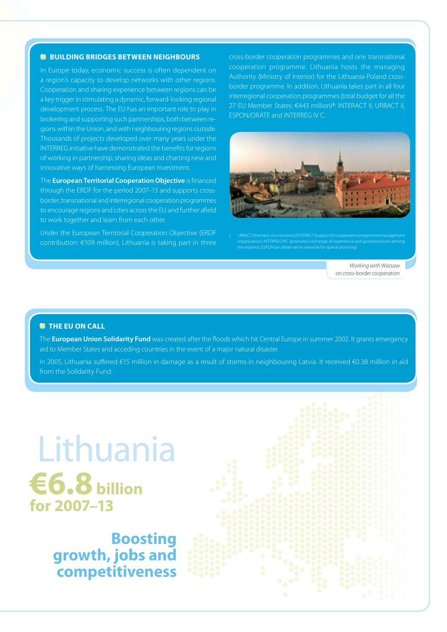#### **BUILDING BRIDGES BETWEEN NEIGHBOURS**

In Europe today, economic success is often dependent on a region's capacity to develop networks with other regions. Cooperation and sharing experience between regions can be a key trigger in stimulating a dynamic, forward-looking regional development process. The EU has an important role to play in brokering and supporting such partnerships, both between regions within the Union, and with neighbouring regions outside. Thousands of projects developed over many years under the INTERREG initiative have demonstrated the benefits for regions of working in partnership, sharing ideas and charting new and innovative ways of harnessing European investment.

The **European Territorial Cooperation Objective** is financed through the ERDF for the period 2007–13 and supports crossborder, transnational and interregional cooperation programmes to encourage regions and cities across the EU and further afield to work together and learn from each other.

Under the European Territorial Cooperation Objective (ERDF contribution: €109 million), Lithuania is taking part in three

cross-border cooperation programmes and one transnational cooperation programme. Lithuania hosts the managing Authority (Ministry of Interior) for the Lithuania-Poland crossborder programme. In addition, Lithuania takes part in all four interregional cooperation programmes (total budget for all the 27 EU Member States: €443 million)**<sup>2</sup>** : INTERACT II, URBACT II, ESPON/ORATE and INTERREG IV C.



2 URBACT (thematic city networks); INTERACT (support for cooperation programme management organisation); INTERREG IVC (promotes exchange of experience and good practices among the regions); ESPON (an observation network for spatial planning).

*Working with Warsaw on cross-border cooperation*

#### **<sup>***M***</sup>** THE EU ON CALL

The **European Union Solidarity Fund** was created after the floods which hit Central Europe in summer 2002. It grants emergency aid to Member States and acceding countries in the event of a major natural disaster.

In 2005, Lithuania suffered €15 million in damage as a result of storms in neighbouring Latvia. It received €0.38 million in aid from the Solidarity Fund.

# Lithuania **€6.8 billion for 2007–13**

**Boosting growth, jobs and competitiveness**